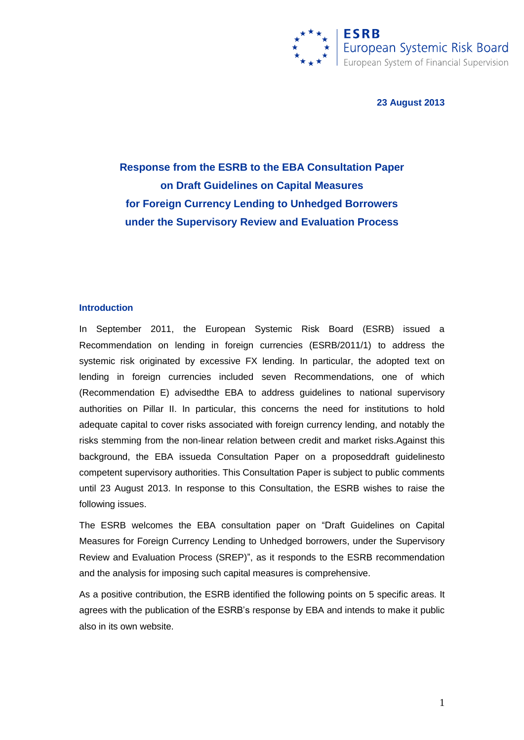

**23 August 2013**

# **Response from the ESRB to the EBA Consultation Paper on Draft Guidelines on Capital Measures for Foreign Currency Lending to Unhedged Borrowers under the Supervisory Review and Evaluation Process**

#### **Introduction**

In September 2011, the European Systemic Risk Board (ESRB) issued a Recommendation on lending in foreign currencies (ESRB/2011/1) to address the systemic risk originated by excessive FX lending. In particular, the adopted text on lending in foreign currencies included seven Recommendations, one of which (Recommendation E) advisedthe EBA to address guidelines to national supervisory authorities on Pillar II. In particular, this concerns the need for institutions to hold adequate capital to cover risks associated with foreign currency lending, and notably the risks stemming from the non-linear relation between credit and market risks.Against this background, the EBA issueda Consultation Paper on a proposeddraft guidelinesto competent supervisory authorities. This Consultation Paper is subject to public comments until 23 August 2013. In response to this Consultation, the ESRB wishes to raise the following issues.

The ESRB welcomes the EBA consultation paper on "Draft Guidelines on Capital Measures for Foreign Currency Lending to Unhedged borrowers, under the Supervisory Review and Evaluation Process (SREP)", as it responds to the ESRB recommendation and the analysis for imposing such capital measures is comprehensive.

As a positive contribution, the ESRB identified the following points on 5 specific areas. It agrees with the publication of the ESRB"s response by EBA and intends to make it public also in its own website.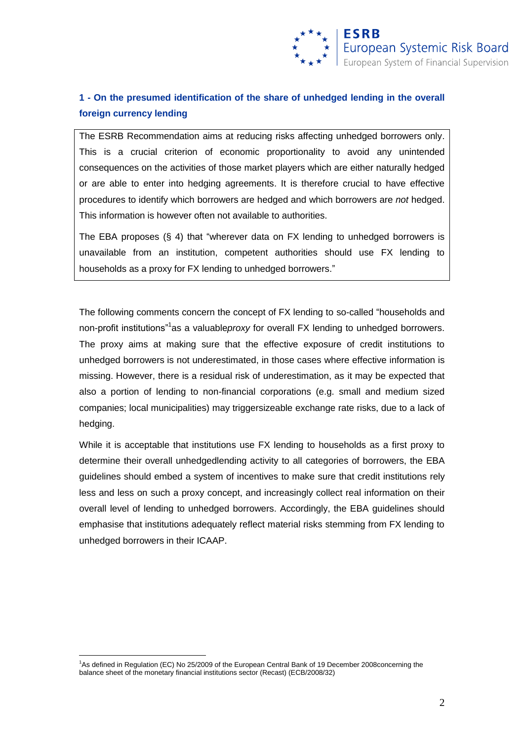

## **1 - On the presumed identification of the share of unhedged lending in the overall foreign currency lending**

The ESRB Recommendation aims at reducing risks affecting unhedged borrowers only. This is a crucial criterion of economic proportionality to avoid any unintended consequences on the activities of those market players which are either naturally hedged or are able to enter into hedging agreements. It is therefore crucial to have effective procedures to identify which borrowers are hedged and which borrowers are *not* hedged. This information is however often not available to authorities.

The EBA proposes (§ 4) that "wherever data on FX lending to unhedged borrowers is unavailable from an institution, competent authorities should use FX lending to households as a proxy for FX lending to unhedged borrowers."

The following comments concern the concept of FX lending to so-called "households and non-profit institutions"<sup>1</sup>as a valuable*proxy* for overall FX lending to unhedged borrowers. The proxy aims at making sure that the effective exposure of credit institutions to unhedged borrowers is not underestimated, in those cases where effective information is missing. However, there is a residual risk of underestimation, as it may be expected that also a portion of lending to non-financial corporations (e.g. small and medium sized companies; local municipalities) may triggersizeable exchange rate risks, due to a lack of hedging.

While it is acceptable that institutions use FX lending to households as a first proxy to determine their overall unhedgedlending activity to all categories of borrowers, the EBA guidelines should embed a system of incentives to make sure that credit institutions rely less and less on such a proxy concept, and increasingly collect real information on their overall level of lending to unhedged borrowers. Accordingly, the EBA guidelines should emphasise that institutions adequately reflect material risks stemming from FX lending to unhedged borrowers in their ICAAP.

1

<sup>&</sup>lt;sup>1</sup>As defined in Regulation (EC) No 25/2009 of the European Central Bank of 19 December 2008concerning the balance sheet of the monetary financial institutions sector (Recast) (ECB/2008/32)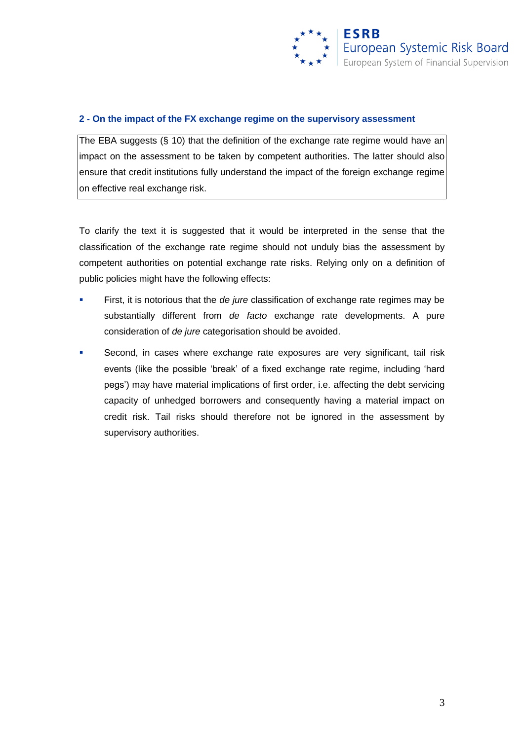

### **2 - On the impact of the FX exchange regime on the supervisory assessment**

The EBA suggests (§ 10) that the definition of the exchange rate regime would have an impact on the assessment to be taken by competent authorities. The latter should also ensure that credit institutions fully understand the impact of the foreign exchange regime on effective real exchange risk.

To clarify the text it is suggested that it would be interpreted in the sense that the classification of the exchange rate regime should not unduly bias the assessment by competent authorities on potential exchange rate risks. Relying only on a definition of public policies might have the following effects:

- First, it is notorious that the *de jure* classification of exchange rate regimes may be substantially different from *de facto* exchange rate developments. A pure consideration of *de jure* categorisation should be avoided.
- Second, in cases where exchange rate exposures are very significant, tail risk events (like the possible "break" of a fixed exchange rate regime, including "hard pegs") may have material implications of first order, i.e. affecting the debt servicing capacity of unhedged borrowers and consequently having a material impact on credit risk. Tail risks should therefore not be ignored in the assessment by supervisory authorities.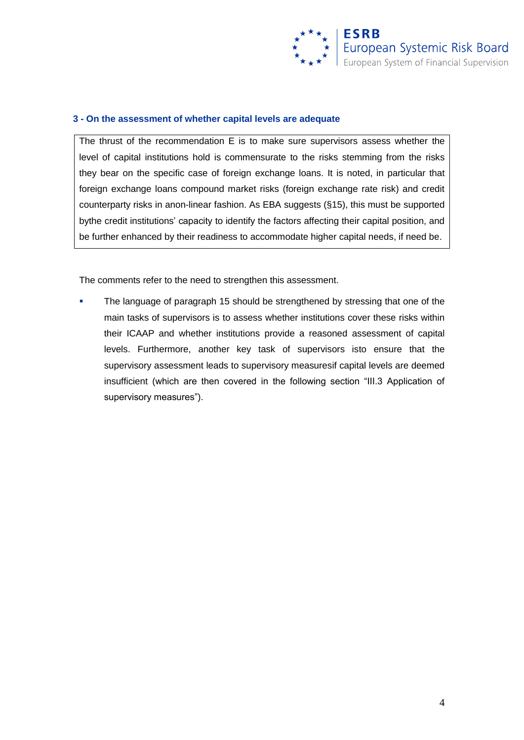

#### **3 - On the assessment of whether capital levels are adequate**

The thrust of the recommendation E is to make sure supervisors assess whether the level of capital institutions hold is commensurate to the risks stemming from the risks they bear on the specific case of foreign exchange loans. It is noted, in particular that foreign exchange loans compound market risks (foreign exchange rate risk) and credit counterparty risks in anon-linear fashion. As EBA suggests (§15), this must be supported bythe credit institutions' capacity to identify the factors affecting their capital position, and be further enhanced by their readiness to accommodate higher capital needs, if need be.

The comments refer to the need to strengthen this assessment.

**The language of paragraph 15 should be strengthened by stressing that one of the** main tasks of supervisors is to assess whether institutions cover these risks within their ICAAP and whether institutions provide a reasoned assessment of capital levels. Furthermore, another key task of supervisors isto ensure that the supervisory assessment leads to supervisory measuresif capital levels are deemed insufficient (which are then covered in the following section "III.3 Application of supervisory measures").